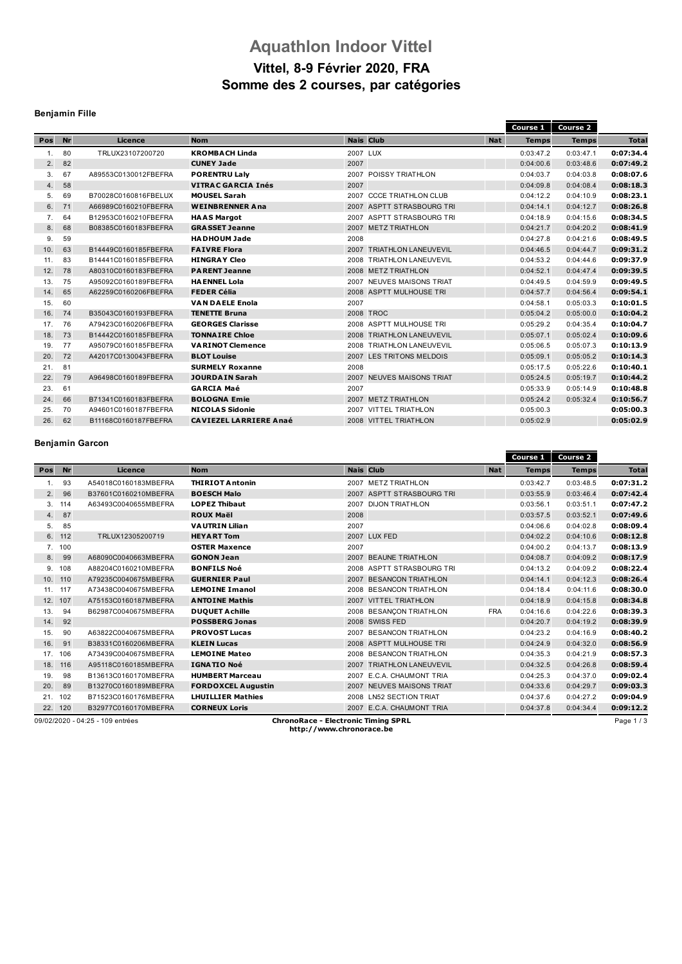# **Aquathlon Indoor Vittel**

## **Vittel, 8-9 Février 2020, FRA Somme des 2 courses, par catégories**

## **Benjamin Fille**

|     |    |                      |                               |                              |            | Course 1     | Course <sub>2</sub> |              |
|-----|----|----------------------|-------------------------------|------------------------------|------------|--------------|---------------------|--------------|
| Pos | Nr | Licence              | <b>Nom</b>                    | <b>Nais Club</b>             | <b>Nat</b> | <b>Temps</b> | <b>Temps</b>        | <b>Total</b> |
| 1.  | 80 | TRLUX23107200720     | <b>KROMBACH Linda</b>         | 2007 LUX                     |            | 0:03:47.2    | 0:03:47.1           | 0:07:34.4    |
| 2.  | 82 |                      | <b>CUNEY Jade</b>             | 2007                         |            | 0:04:00.6    | 0:03:48.6           | 0:07:49.2    |
| 3.  | 67 | A89553C0130012FBEFRA | <b>PORENTRU Laly</b>          | 2007 POISSY TRIATHLON        |            | 0:04:03.7    | 0:04:03.8           | 0:08:07.6    |
| 4.  | 58 |                      | <b>VITRAC GARCIA Inés</b>     | 2007                         |            | 0:04:09.8    | 0:04:08.4           | 0:08:18.3    |
| 5.  | 69 | B70028C0160816FBELUX | <b>MOUSEL Sarah</b>           | 2007 CCCE TRIATHLON CLUB     |            | 0:04:12.2    | 0:04:10.9           | 0:08:23.1    |
| 6.  | 71 | A66989C0160210FBEFRA | <b>WEINBRENNER Ana</b>        | 2007 ASPTT STRASBOURG TRI    |            | 0:04:14.1    | 0:04:12.7           | 0:08:26.8    |
| 7.  | 64 | B12953C0160210FBEFRA | <b>HAAS Margot</b>            | 2007 ASPTT STRASBOURG TRI    |            | 0:04:18.9    | 0:04:15.6           | 0:08:34.5    |
| 8.  | 68 | B08385C0160183FBEFRA | <b>GRASSET Jeanne</b>         | 2007 METZ TRIATHLON          |            | 0:04:21.7    | 0:04:20.2           | 0:08:41.9    |
| 9.  | 59 |                      | <b>HADHOUM Jade</b>           | 2008                         |            | 0:04:27.8    | 0:04:21.6           | 0:08:49.5    |
| 10. | 63 | B14449C0160185FBEFRA | <b>FAIVRE Flora</b>           | 2007 TRIATHLON LANEUVEVIL    |            | 0:04:46.5    | 0:04:44.7           | 0:09:31.2    |
| 11. | 83 | B14441C0160185FBEFRA | <b>HINGRAY Cleo</b>           | TRIATHLON LANEUVEVIL<br>2008 |            | 0:04:53.2    | 0:04:44.6           | 0:09:37.9    |
| 12. | 78 | A80310C0160183FBEFRA | <b>PARENT Jeanne</b>          | 2008 METZ TRIATHLON          |            | 0:04:52.1    | 0:04:47.4           | 0:09:39.5    |
| 13. | 75 | A95092C0160189FBEFRA | <b>HAENNEL Lola</b>           | 2007 NEUVES MAISONS TRIAT    |            | 0:04:49.5    | 0:04:59.9           | 0:09:49.5    |
| 14. | 65 | A62259C0160206FBEFRA | <b>FEDER Célia</b>            | 2008 ASPTT MULHOUSE TRI      |            | 0:04:57.7    | 0:04:56.4           | 0:09:54.1    |
| 15. | 60 |                      | <b>VAN DAELE Enola</b>        | 2007                         |            | 0:04:58.1    | 0:05:03.3           | 0:10:01.5    |
| 16. | 74 | B35043C0160193FBEFRA | <b>TENETTE Bruna</b>          | 2008 TROC                    |            | 0:05:04.2    | 0:05:00.0           | 0:10:04.2    |
| 17. | 76 | A79423C0160206FBEFRA | <b>GEORGES Clarisse</b>       | 2008 ASPTT MULHOUSE TRI      |            | 0:05:29.2    | 0:04:35.4           | 0:10:04.7    |
| 18. | 73 | B14442C0160185FBEFRA | <b>TONNAIRE Chloe</b>         | 2008 TRIATHLON LANEUVEVIL    |            | 0:05:07.1    | 0:05:02.4           | 0:10:09.6    |
| 19. | 77 | A95079C0160185FBEFRA | <b>VARINOT Clemence</b>       | 2008 TRIATHLON LANEUVEVIL    |            | 0:05:06.5    | 0:05:07.3           | 0:10:13.9    |
| 20. | 72 | A42017C0130043FBEFRA | <b>BLOT Louise</b>            | 2007 LES TRITONS MELDOIS     |            | 0:05:09.1    | 0:05:05.2           | 0:10:14.3    |
| 21. | 81 |                      | <b>SURMELY Roxanne</b>        | 2008                         |            | 0:05:17.5    | 0:05:22.6           | 0:10:40.1    |
| 22. | 79 | A96498C0160189FBEFRA | <b>JOURDAIN Sarah</b>         | 2007 NEUVES MAISONS TRIAT    |            | 0:05:24.5    | 0:05:19.7           | 0:10:44.2    |
| 23. | 61 |                      | <b>GARCIA Maé</b>             | 2007                         |            | 0:05:33.9    | 0:05:14.9           | 0:10:48.8    |
| 24. | 66 | B71341C0160183FBEFRA | <b>BOLOGNA Emie</b>           | 2007 METZ TRIATHLON          |            | 0:05:24.2    | 0:05:32.4           | 0:10:56.7    |
| 25. | 70 | A94601C0160187FBEFRA | <b>NICOLAS Sidonie</b>        | 2007 VITTEL TRIATHLON        |            | 0:05:00.3    |                     | 0:05:00.3    |
| 26. | 62 | B11168C0160187FBEFRA | <b>CAVIEZEL LARRIERE Anaé</b> | 2008 VITTEL TRIATHLON        |            | 0:05:02.9    |                     | 0:05:02.9    |

#### **Benjamin Garcon**

|     |           |                      |                           |                           |            | Course 1     | <b>Course 2</b> |              |
|-----|-----------|----------------------|---------------------------|---------------------------|------------|--------------|-----------------|--------------|
| Pos | <b>Nr</b> | Licence              | <b>Nom</b>                | <b>Nais Club</b>          | <b>Nat</b> | <b>Temps</b> | <b>Temps</b>    | <b>Total</b> |
| 1.  | 93        | A54018C0160183MBEFRA | <b>THIRIOT Antonin</b>    | 2007 METZ TRIATHLON       |            | 0:03:42.7    | 0:03:48.5       | 0:07:31.2    |
| 2.  | 96        | B37601C0160210MBEFRA | <b>BOESCH Malo</b>        | 2007 ASPTT STRASBOURG TRI |            | 0:03:55.9    | 0:03:46.4       | 0:07:42.4    |
| 3.  | 114       | A63493C0040655MBEFRA | <b>LOPEZ Thibaut</b>      | 2007 DIJON TRIATHLON      |            | 0:03:56.1    | 0:03:51.1       | 0:07:47.2    |
| 4.  | - 87      |                      | <b>ROUX Maël</b>          | 2008                      |            | 0:03:57.5    | 0:03:52.1       | 0:07:49.6    |
| 5.  | 85        |                      | <b>VAUTRIN Lilian</b>     | 2007                      |            | 0:04:06.6    | 0:04:02.8       | 0:08:09.4    |
|     | 6. 112    | TRLUX12305200719     | <b>HEYART Tom</b>         | 2007 LUX FED              |            | 0:04:02.2    | 0:04:10.6       | 0:08:12.8    |
|     | 7. 100    |                      | <b>OSTER Maxence</b>      | 2007                      |            | 0:04:00.2    | 0:04:13.7       | 0:08:13.9    |
| 8.  | - 99      | A68090C0040663MBEFRA | <b>GONON Jean</b>         | 2007 BEAUNE TRIATHLON     |            | 0:04:08.7    | 0:04:09.2       | 0:08:17.9    |
| 9.  | 108       | A88204C0160210MBEFRA | <b>BONFILS Noé</b>        | 2008 ASPTT STRASBOURG TRI |            | 0:04:13.2    | 0:04:09.2       | 0:08:22.4    |
|     | 10. 110   | A79235C0040675MBEFRA | <b>GUERNIER Paul</b>      | 2007 BESANCON TRIATHLON   |            | 0:04:14.1    | 0:04:12.3       | 0:08:26.4    |
| 11. | 117       | A73438C0040675MBEFRA | <b>LEMOINE Imanol</b>     | 2008 BESANCON TRIATHLON   |            | 0:04:18.4    | 0:04:11.6       | 0:08:30.0    |
| 12. | 107       | A75153C0160187MBEFRA | <b>ANTOINE Mathis</b>     | 2007 VITTEL TRIATHLON     |            | 0:04:18.9    | 0:04:15.8       | 0:08:34.8    |
| 13. | 94        | B62987C0040675MBEFRA | <b>DUQUET A chille</b>    | 2008 BESANCON TRIATHLON   | <b>FRA</b> | 0:04:16.6    | 0:04:22.6       | 0:08:39.3    |
| 14. | 92        |                      | <b>POSSBERG Jonas</b>     | 2008 SWISS FED            |            | 0:04:20.7    | 0:04:19.2       | 0:08:39.9    |
| 15. | 90        | A63822C0040675MBEFRA | <b>PROVOST Lucas</b>      | 2007 BESANCON TRIATHLON   |            | 0:04:23.2    | 0:04:16.9       | 0:08:40.2    |
| 16. | 91        | B38331C0160206MBEFRA | <b>KLEIN Lucas</b>        | 2008 ASPTT MULHOUSE TRI   |            | 0:04:24.9    | 0:04:32.0       | 0:08:56.9    |
| 17. | 106       | A73439C0040675MBEFRA | <b>LEMOINE Mateo</b>      | 2008 BESANCON TRIATHLON   |            | 0:04:35.3    | 0:04:21.9       | 0:08:57.3    |
| 18. | 116       | A95118C0160185MBEFRA | <b>IGNATIO Noé</b>        | 2007 TRIATHLON LANEUVEVIL |            | 0:04:32.5    | 0:04:26.8       | 0:08:59.4    |
| 19. | 98        | B13613C0160170MBEFRA | <b>HUMBERT Marceau</b>    | 2007 E.C.A. CHAUMONT TRIA |            | 0:04:25.3    | 0:04:37.0       | 0:09:02.4    |
| 20. | 89        | B13270C0160189MBEFRA | <b>FORDOXCEL Augustin</b> | 2007 NEUVES MAISONS TRIAT |            | 0:04:33.6    | 0:04:29.7       | 0:09:03.3    |
| 21. | 102       | B71523C0160176MBEFRA | <b>LHUILLIER Mathies</b>  | 2008 LN52 SECTION TRIAT   |            | 0:04:37.6    | 0:04:27.2       | 0:09:04.9    |
|     | 22. 120   | B32977C0160170MBEFRA | <b>CORNEUX Loris</b>      | 2007 E.C.A. CHAUMONT TRIA |            | 0:04:37.8    | 0:04:34.4       | 0:09:12.2    |
|     |           |                      |                           | $-1$ $-$ . $-$            |            |              |                 |              |

09/02/2020 - 04:25 - 109 entrées **ChronoRace - Electronic Timing SPRL http://www.chronorace.be**

Page 1 / 3

 $=$   $=$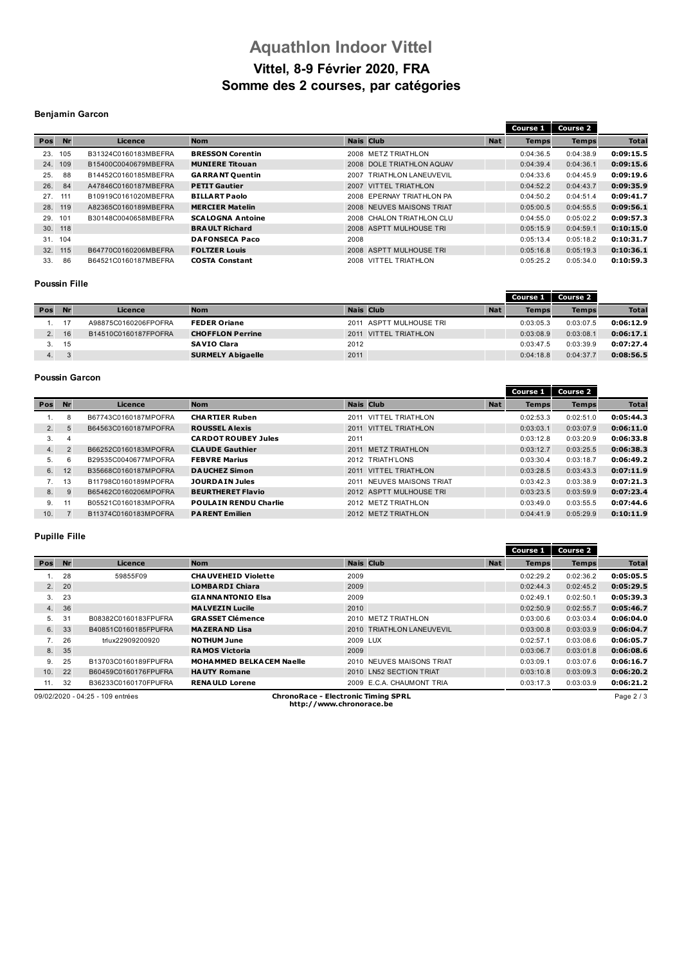## **Aquathlon Indoor Vittel Vittel, 8-9 Février 2020, FRA Somme des 2 courses, par catégories**

### **Benjamin Garcon**

|     |           |                      |                         |                  |                           |            | Course 1     | Course 2     |              |
|-----|-----------|----------------------|-------------------------|------------------|---------------------------|------------|--------------|--------------|--------------|
| Pos | <b>Nr</b> | Licence              | <b>Nom</b>              | <b>Nais Club</b> |                           | <b>Nat</b> | <b>Temps</b> | <b>Temps</b> | <b>Total</b> |
| 23. | 105       | B31324C0160183MBEFRA | <b>BRESSON Corentin</b> |                  | 2008 METZ TRIATHLON       |            | 0:04:36.5    | 0:04:38.9    | 0:09:15.5    |
| 24. | 109       | B15400C0040679MBEFRA | <b>MUNIERE Titouan</b>  |                  | 2008 DOLE TRIATHLON AQUAV |            | 0:04:39.4    | 0:04:36.1    | 0:09:15.6    |
| 25. | 88        | B14452C0160185MBEFRA | <b>GARRANT Quentin</b>  | 2007             | TRIATHLON LANEUVEVIL      |            | 0:04:33.6    | 0:04:45.9    | 0:09:19.6    |
| 26. | 84        | A47846C0160187MBEFRA | <b>PETIT Gautier</b>    |                  | 2007 VITTEL TRIATHLON     |            | 0:04:52.2    | 0:04:43.7    | 0:09:35.9    |
| 27. | 111       | B10919C0161020MBEFRA | <b>BILLART Paolo</b>    |                  | 2008 EPERNAY TRIATHLON PA |            | 0:04:50.2    | 0:04:51.4    | 0:09:41.7    |
| 28. | 119       | A82365C0160189MBEFRA | <b>MERCIER Matelin</b>  |                  | 2008 NEUVES MAISONS TRIAT |            | 0:05:00.5    | 0:04:55.5    | 0:09:56.1    |
| 29. | 101       | B30148C0040658MBEFRA | <b>SCALOGNA Antoine</b> |                  | 2008 CHALON TRIATHLON CLU |            | 0:04:55.0    | 0:05:02.2    | 0:09:57.3    |
|     | 30. 118   |                      | <b>BRAULT Richard</b>   |                  | 2008 ASPTT MULHOUSE TRI   |            | 0:05:15.9    | 0:04:59.1    | 0:10:15.0    |
| 31. | 104       |                      | <b>DAFONSECA Paco</b>   | 2008             |                           |            | 0:05:13.4    | 0:05:18.2    | 0:10:31.7    |
|     | 32. 115   | B64770C0160206MBEFRA | <b>FOLTZER Louis</b>    |                  | 2008 ASPTT MULHOUSE TRI   |            | 0:05:16.8    | 0:05:19.3    | 0:10:36.1    |
| 33. | 86        | B64521C0160187MBEFRA | <b>COSTA Constant</b>   |                  | 2008 VITTEL TRIATHLON     |            | 0:05:25.2    | 0:05:34.0    | 0:10:59.3    |

#### **Poussin Fille**

|                |    |                      |                          |                          |            | Course 1     | Course 2     |              |
|----------------|----|----------------------|--------------------------|--------------------------|------------|--------------|--------------|--------------|
| Pos            | Nr | Licence              | <b>Nom</b>               | <b>Nais Club</b>         | <b>Nat</b> | <b>Temps</b> | <b>Temps</b> | <b>Total</b> |
|                |    | A98875C0160206FPOFRA | <b>FEDER Oriane</b>      | 2011 ASPTT MULHOUSE TRI  |            | 0:03:05.3    | 0:03:07.5    | 0:06:12.9    |
| 2 <sup>1</sup> | 16 | B14510C0160187FPOFRA | <b>CHOFFLON Perrine</b>  | VITTEL TRIATHLON<br>2011 |            | 0:03:08.9    | 0:03:08.1    | 0:06:17.1    |
|                | 15 |                      | <b>SAVIO Clara</b>       | 2012                     |            | 0:03:47.5    | 0:03:39.9    | 0:07:27.4    |
| 4.             |    |                      | <b>SURMELY Abigaelle</b> | 2011                     |            | 0:04:18.8    | 0:04:37.7    | 0:08:56.5    |

## **Poussin Garcon**

|                |                |                      |                              |                                 |            | Course 1     | <b>Course 2</b> |              |
|----------------|----------------|----------------------|------------------------------|---------------------------------|------------|--------------|-----------------|--------------|
| Pos            | <b>Nr</b>      | Licence              | <b>Nom</b>                   | <b>Nais Club</b>                | <b>Nat</b> | <b>Temps</b> | <b>Temps</b>    | <b>Total</b> |
|                |                | B67743C0160187MPOFRA | <b>CHARTIER Ruben</b>        | VITTEL TRIATHLON<br>2011        |            | 0:02:53.3    | 0:02:51.0       | 0:05:44.3    |
| 2.             | 5              | B64563C0160187MPOFRA | <b>ROUSSEL Alexis</b>        | <b>VITTEL TRIATHLON</b><br>2011 |            | 0:03:03.1    | 0:03:07.9       | 0:06:11.0    |
| 3.             | 4              |                      | <b>CARDOT ROUBEY Jules</b>   | 2011                            |            | 0:03:12.8    | 0:03:20.9       | 0:06:33.8    |
| 4.             | $\overline{2}$ | B66252C0160183MPOFRA | <b>CLAUDE Gauthier</b>       | <b>METZ TRIATHLON</b><br>2011   |            | 0:03:12.7    | 0:03:25.5       | 0:06:38.3    |
| 5.             | 6              | B29535C0040677MPOFRA | <b>FEBVRE Marius</b>         | 2012 TRIATH'LONS                |            | 0:03:30.4    | 0:03:18.7       | 0:06:49.2    |
| 6.             | 12             | B35668C0160187MPOFRA | <b>DAUCHEZ Simon</b>         | 2011 VITTEL TRIATHLON           |            | 0:03:28.5    | 0:03:43.3       | 0:07:11.9    |
| 7 <sup>1</sup> | 13             | B11798C0160189MPOFRA | <b>JOURDAIN Jules</b>        | NEUVES MAISONS TRIAT<br>2011    |            | 0:03:42.3    | 0:03:38.9       | 0:07:21.3    |
| 8.             | 9              | B65462C0160206MPOFRA | <b>BEURTHERET Flavio</b>     | 2012 ASPTT MULHOUSE TRI         |            | 0:03:23.5    | 0:03:59.9       | 0:07:23.4    |
| 9.             | 11             | B05521C0160183MPOFRA | <b>POULAIN RENDU Charlie</b> | 2012 METZ TRIATHLON             |            | 0:03:49.0    | 0:03:55.5       | 0:07:44.6    |
| 10.            |                | B11374C0160183MPOFRA | <b>PARENT Emilien</b>        | 2012 METZ TRIATHLON             |            | 0:04:41.9    | 0:05:29.9       | 0:10:11.9    |

### **Pupille Fille**

|     |           |                      |                                  |                           |            | Course 1     | <b>Course 2</b> |              |
|-----|-----------|----------------------|----------------------------------|---------------------------|------------|--------------|-----------------|--------------|
| Pos | <b>Nr</b> | Licence              | <b>Nom</b>                       | <b>Nais Club</b>          | <b>Nat</b> | <b>Temps</b> | <b>Temps</b>    | <b>Total</b> |
|     | 28        | 59855F09             | <b>CHAUVEHEID Violette</b>       | 2009                      |            | 0:02:29.2    | 0:02:36.2       | 0:05:05.5    |
| 2.  | 20        |                      | <b>LOMBARDI Chiara</b>           | 2009                      |            | 0:02:44.3    | 0:02:45.2       | 0:05:29.5    |
| 3.  | 23        |                      | <b>GIANNANTONIO Elsa</b>         | 2009                      |            | 0:02:49.1    | 0:02:50.1       | 0:05:39.3    |
| 4.  | 36        |                      | <b>MALVEZIN Lucile</b>           | 2010                      |            | 0:02:50.9    | 0:02:55.7       | 0:05:46.7    |
| 5.  | 31        | B08382C0160183FPUFRA | <b>GRASSET Clémence</b>          | 2010 METZ TRIATHLON       |            | 0:03:00.6    | 0:03:03.4       | 0:06:04.0    |
| 6.  | 33        | B40851C0160185FPUFRA | <b>MAZERAND Lisa</b>             | 2010 TRIATHLON LANEUVEVIL |            | 0:03:00.8    | 0:03:03.9       | 0:06:04.7    |
| 7.  | 26        | trlux22909200920     | <b>NOTHUM June</b>               | 2009 LUX                  |            | 0:02:57.1    | 0:03:08.6       | 0:06:05.7    |
| 8.  | 35        |                      | <b>RAMOS Victoria</b>            | 2009                      |            | 0:03:06.7    | 0:03:01.8       | 0:06:08.6    |
| 9.  | 25        | B13703C0160189FPUFRA | <b>MOHA MMED BELKACEM Naelle</b> | 2010 NEUVES MAISONS TRIAT |            | 0:03:09.1    | 0:03:07.6       | 0:06:16.7    |
| 10. | 22        | B60459C0160176FPUFRA | <b>HAUTY Romane</b>              | 2010 LN52 SECTION TRIAT   |            | 0:03:10.8    | 0:03:09.3       | 0:06:20.2    |
| 11. | 32        | B36233C0160170FPUFRA | <b>RENAULD Lorene</b>            | 2009 E.C.A. CHAUMONT TRIA |            | 0:03:17.3    | 0:03:03.9       | 0:06:21.2    |

09/02/2020 - 04:25 - 109 entrées **ChronoRace - Electronic Timing SPRL http://www.chronorace.be**

Page 2 / 3